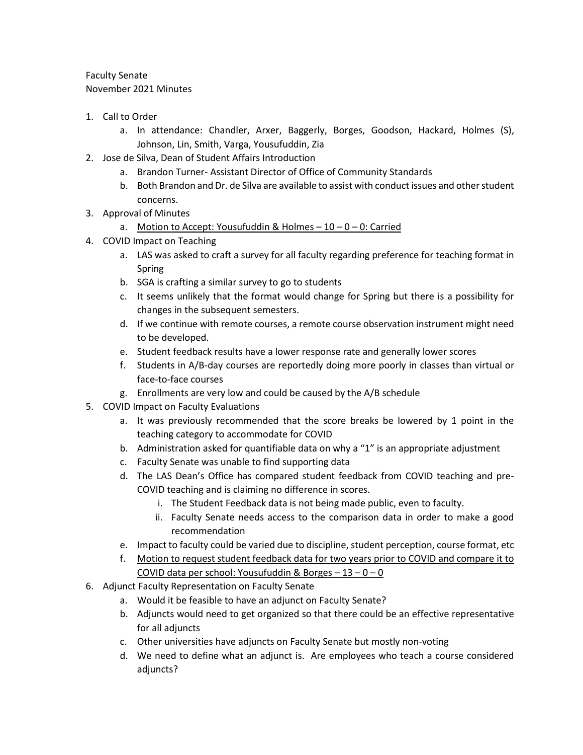Faculty Senate November 2021 Minutes

- 1. Call to Order
	- a. In attendance: Chandler, Arxer, Baggerly, Borges, Goodson, Hackard, Holmes (S), Johnson, Lin, Smith, Varga, Yousufuddin, Zia
- 2. Jose de Silva, Dean of Student Affairs Introduction
	- a. Brandon Turner- Assistant Director of Office of Community Standards
	- b. Both Brandon and Dr. de Silva are available to assist with conduct issues and other student concerns.
- 3. Approval of Minutes
	- a. Motion to Accept: Yousufuddin & Holmes  $-10-0-0$ : Carried
- 4. COVID Impact on Teaching
	- a. LAS was asked to craft a survey for all faculty regarding preference for teaching format in Spring
	- b. SGA is crafting a similar survey to go to students
	- c. It seems unlikely that the format would change for Spring but there is a possibility for changes in the subsequent semesters.
	- d. If we continue with remote courses, a remote course observation instrument might need to be developed.
	- e. Student feedback results have a lower response rate and generally lower scores
	- f. Students in A/B-day courses are reportedly doing more poorly in classes than virtual or face-to-face courses
	- g. Enrollments are very low and could be caused by the A/B schedule
- 5. COVID Impact on Faculty Evaluations
	- a. It was previously recommended that the score breaks be lowered by 1 point in the teaching category to accommodate for COVID
	- b. Administration asked for quantifiable data on why a "1" is an appropriate adjustment
	- c. Faculty Senate was unable to find supporting data
	- d. The LAS Dean's Office has compared student feedback from COVID teaching and pre-COVID teaching and is claiming no difference in scores.
		- i. The Student Feedback data is not being made public, even to faculty.
		- ii. Faculty Senate needs access to the comparison data in order to make a good recommendation
	- e. Impact to faculty could be varied due to discipline, student perception, course format, etc
	- f. Motion to request student feedback data for two years prior to COVID and compare it to COVID data per school: Yousufuddin & Borges  $-13 - 0 - 0$
- 6. Adjunct Faculty Representation on Faculty Senate
	- a. Would it be feasible to have an adjunct on Faculty Senate?
	- b. Adjuncts would need to get organized so that there could be an effective representative for all adjuncts
	- c. Other universities have adjuncts on Faculty Senate but mostly non-voting
	- d. We need to define what an adjunct is. Are employees who teach a course considered adjuncts?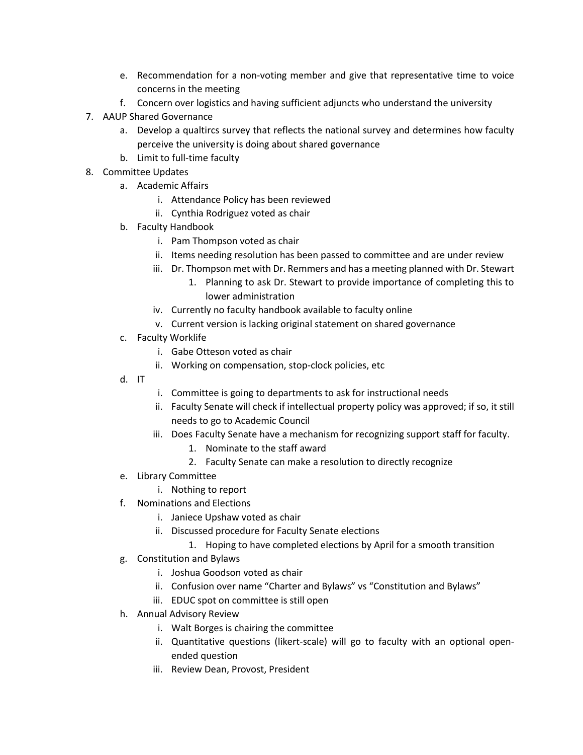- e. Recommendation for a non-voting member and give that representative time to voice concerns in the meeting
- f. Concern over logistics and having sufficient adjuncts who understand the university
- 7. AAUP Shared Governance
	- a. Develop a qualtircs survey that reflects the national survey and determines how faculty perceive the university is doing about shared governance
	- b. Limit to full-time faculty
- 8. Committee Updates
	- a. Academic Affairs
		- i. Attendance Policy has been reviewed
		- ii. Cynthia Rodriguez voted as chair
	- b. Faculty Handbook
		- i. Pam Thompson voted as chair
		- ii. Items needing resolution has been passed to committee and are under review
		- iii. Dr. Thompson met with Dr. Remmers and has a meeting planned with Dr. Stewart
			- 1. Planning to ask Dr. Stewart to provide importance of completing this to lower administration
		- iv. Currently no faculty handbook available to faculty online
		- v. Current version is lacking original statement on shared governance
	- c. Faculty Worklife
		- i. Gabe Otteson voted as chair
		- ii. Working on compensation, stop-clock policies, etc
	- d. IT
- i. Committee is going to departments to ask for instructional needs
- ii. Faculty Senate will check if intellectual property policy was approved; if so, it still needs to go to Academic Council
- iii. Does Faculty Senate have a mechanism for recognizing support staff for faculty.
	- 1. Nominate to the staff award
	- 2. Faculty Senate can make a resolution to directly recognize
- e. Library Committee
	- i. Nothing to report
- f. Nominations and Elections
	- i. Janiece Upshaw voted as chair
	- ii. Discussed procedure for Faculty Senate elections
		- 1. Hoping to have completed elections by April for a smooth transition
- g. Constitution and Bylaws
	- i. Joshua Goodson voted as chair
	- ii. Confusion over name "Charter and Bylaws" vs "Constitution and Bylaws"
	- iii. EDUC spot on committee is still open
- h. Annual Advisory Review
	- i. Walt Borges is chairing the committee
	- ii. Quantitative questions (likert-scale) will go to faculty with an optional openended question
	- iii. Review Dean, Provost, President